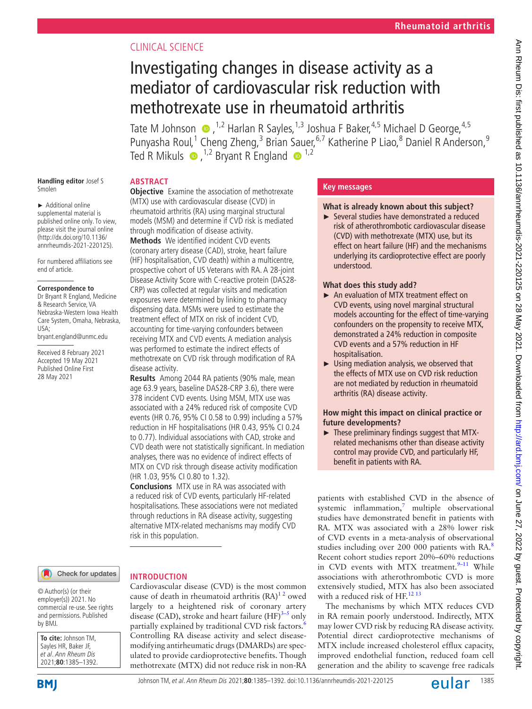# CLINICAL SCIENCE

# Investigating changes in disease activity as a mediator of cardiovascular risk reduction with methotrexate use in rheumatoid arthritis

Tate M Johnson  $\bullet$ , <sup>1,2</sup> Harlan R Sayles, <sup>1,3</sup> Joshua F Baker, <sup>4,5</sup> Michael D George, <sup>4,5</sup> Punyasha Roul,<sup>1</sup> Cheng Zheng,<sup>3</sup> Brian Sauer,<sup>6,7</sup> Katherine P Liao,<sup>8</sup> Daniel R Anderson,<sup>9</sup> Ted R Mikuls  $\bullet$ , <sup>1,2</sup> Bryant R England  $\bullet$ <sup>1,2</sup>

# **ABSTRACT**

**Handling editor** Josef S Smolen

► Additional online supplemental material is published online only. To view, please visit the journal online [\(http://dx.doi.org/10.1136/](http://dx.doi.org/10.1136/annrheumdis-2021-220125) [annrheumdis-2021-220125\)](http://dx.doi.org/10.1136/annrheumdis-2021-220125).

For numbered affiliations see end of article.

#### **Correspondence to**

Dr Bryant R England, Medicine & Research Service, VA Nebraska-Western Iowa Health Care System, Omaha, Nebraska, USA; bryant.england@unmc.edu

Received 8 February 2021 Accepted 19 May 2021 Published Online First 28 May 2021

**Objective** Examine the association of methotrexate (MTX) use with cardiovascular disease (CVD) in rheumatoid arthritis (RA) using marginal structural models (MSM) and determine if CVD risk is mediated through modification of disease activity.

**Methods** We identified incident CVD events (coronary artery disease (CAD), stroke, heart failure (HF) hospitalisation, CVD death) within a multicentre, prospective cohort of US Veterans with RA. A 28-joint Disease Activity Score with C-reactive protein (DAS28- CRP) was collected at regular visits and medication exposures were determined by linking to pharmacy dispensing data. MSMs were used to estimate the treatment effect of MTX on risk of incident CVD, accounting for time-varying confounders between receiving MTX and CVD events. A mediation analysis was performed to estimate the indirect effects of methotrexate on CVD risk through modification of RA disease activity.

**Results** Among 2044 RA patients (90% male, mean age 63.9 years, baseline DAS28-CRP 3.6), there were 378 incident CVD events. Using MSM, MTX use was associated with a 24% reduced risk of composite CVD events (HR 0.76, 95% CI 0.58 to 0.99) including a 57% reduction in HF hospitalisations (HR 0.43, 95% CI 0.24 to 0.77). Individual associations with CAD, stroke and CVD death were not statistically significant. In mediation analyses, there was no evidence of indirect effects of MTX on CVD risk through disease activity modification (HR 1.03, 95% CI 0.80 to 1.32).

**Conclusions** MTX use in RA was associated with a reduced risk of CVD events, particularly HF-related hospitalisations. These associations were not mediated through reductions in RA disease activity, suggesting alternative MTX-related mechanisms may modify CVD risk in this population.

## Check for updates

#### © Author(s) (or their employer(s)) 2021. No commercial re-use. See rights and permissions. Published by BMJ.

**To cite:** Johnson TM, Sayles HR, Baker JF, et al. Ann Rheum Dis 2021;**80**:1385–1392.



# **INTRODUCTION**

Cardiovascular disease (CVD) is the most common cause of death in rheumatoid arthritis  $(RA)^{12}$  owed largely to a heightened risk of coronary artery disease (CAD), stroke and heart failure  $(HF)^{3-5}$  only partially explained by traditional CVD risk factors.<sup>[6](#page-6-2)</sup> Controlling RA disease activity and select diseasemodifying antirheumatic drugs (DMARDs) are speculated to provide cardioprotective benefits. Though methotrexate (MTX) did not reduce risk in non-RA

# **Key messages**

# **What is already known about this subject?**

► Several studies have demonstrated a reduced risk of atherothrombotic cardiovascular disease (CVD) with methotrexate (MTX) use, but its effect on heart failure (HF) and the mechanisms underlying its cardioprotective effect are poorly understood.

# **What does this study add?**

- ► An evaluation of MTX treatment effect on CVD events, using novel marginal structural models accounting for the effect of time-varying confounders on the propensity to receive MTX, demonstrated a 24% reduction in composite CVD events and a 57% reduction in HF hospitalisation.
- $\blacktriangleright$  Using mediation analysis, we observed that the effects of MTX use on CVD risk reduction are not mediated by reduction in rheumatoid arthritis (RA) disease activity.

# **How might this impact on clinical practice or future developments?**

► These preliminary findings suggest that MTXrelated mechanisms other than disease activity control may provide CVD, and particularly HF, benefit in patients with RA.

patients with established CVD in the absence of systemic inflammation, $\frac{7}{7}$  multiple observational studies have demonstrated benefit in patients with RA. MTX was associated with a 28% lower risk of CVD events in a meta-analysis of observational studies including over 200 000 patients with RA.<sup>[8](#page-6-4)</sup> Recent cohort studies report 20%–60% reductions in CVD events with MTX treatment. $9-11$  While associations with atherothrombotic CVD is more extensively studied, MTX has also been associated with a reduced risk of HF.<sup>[12 13](#page-6-6)</sup>

The mechanisms by which MTX reduces CVD in RA remain poorly understood. Indirectly, MTX may lower CVD risk by reducing RA disease activity. Potential direct cardioprotective mechanisms of MTX include increased cholesterol efflux capacity, improved endothelial function, reduced foam cell generation and the ability to scavenge free radicals

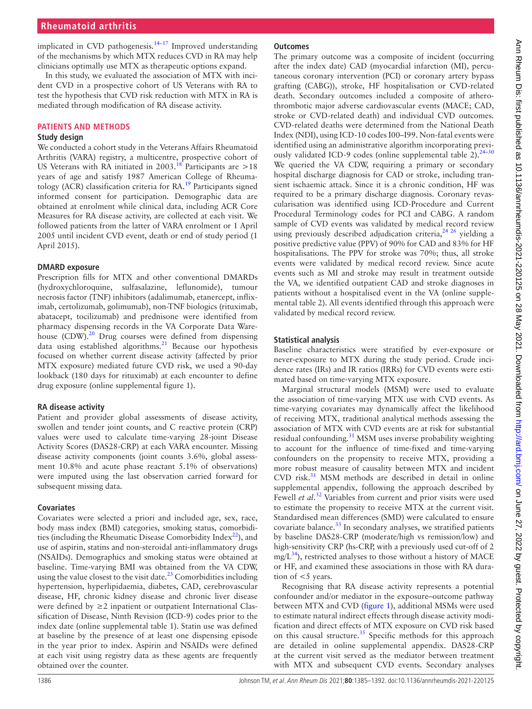implicated in CVD pathogenesis. $14-17$  Improved understanding of the mechanisms by which MTX reduces CVD in RA may help clinicians optimally use MTX as therapeutic options expand.

In this study, we evaluated the association of MTX with incident CVD in a prospective cohort of US Veterans with RA to test the hypothesis that CVD risk reduction with MTX in RA is mediated through modification of RA disease activity.

# **PATIENTS AND METHODS**

# **Study design**

We conducted a cohort study in the Veterans Affairs Rheumatoid Arthritis (VARA) registry, a multicentre, prospective cohort of US Veterans with RA initiated in 2003.<sup>18</sup> Participants are  $>18$ years of age and satisfy 1987 American College of Rheumatology (ACR) classification criteria for RA.<sup>19</sup> Participants signed informed consent for participation. Demographic data are obtained at enrolment while clinical data, including ACR Core Measures for RA disease activity, are collected at each visit. We followed patients from the latter of VARA enrolment or 1 April 2005 until incident CVD event, death or end of study period (1 April 2015).

# **DMARD exposure**

Prescription fills for MTX and other conventional DMARDs (hydroxychloroquine, sulfasalazine, leflunomide), tumour necrosis factor (TNF) inhibitors (adalimumab, etanercept, infliximab, certolizumab, golimumab), non-TNF biologics (rituximab, abatacept, tocilizumab) and prednisone were identified from pharmacy dispensing records in the VA Corporate Data Ware-house (CDW).<sup>[20](#page-6-10)</sup> Drug courses were defined from dispensing data using established algorithms. $^{21}$  $^{21}$  $^{21}$  Because our hypothesis focused on whether current disease activity (affected by prior MTX exposure) mediated future CVD risk, we used a 90-day lookback (180 days for rituximab) at each encounter to define drug exposure ([online supplemental figure 1](https://dx.doi.org/10.1136/annrheumdis-2021-220125)).

# **RA disease activity**

Patient and provider global assessments of disease activity, swollen and tender joint counts, and C reactive protein (CRP) values were used to calculate time-varying 28-joint Disease Activity Scores (DAS28-CRP) at each VARA encounter. Missing disease activity components (joint counts 3.6%, global assessment 10.8% and acute phase reactant 5.1% of observations) were imputed using the last observation carried forward for subsequent missing data.

# **Covariates**

Covariates were selected a priori and included age, sex, race, body mass index (BMI) categories, smoking status, comorbidities (including the Rheumatic Disease Comorbidity Index $^{22}$ ), and use of aspirin, statins and non-steroidal anti-inflammatory drugs (NSAIDs). Demographics and smoking status were obtained at baseline. Time-varying BMI was obtained from the VA CDW, using the value closest to the visit date.<sup>23</sup> Comorbidities including hypertension, hyperlipidaemia, diabetes, CAD, cerebrovascular disease, HF, chronic kidney disease and chronic liver disease were defined by  $\geq 2$  inpatient or outpatient International Classification of Disease, Ninth Revision (ICD-9) codes prior to the index date [\(online supplemental table 1\)](https://dx.doi.org/10.1136/annrheumdis-2021-220125). Statin use was defined at baseline by the presence of at least one dispensing episode in the year prior to index. Aspirin and NSAIDs were defined at each visit using registry data as these agents are frequently obtained over the counter.

# **Outcomes**

The primary outcome was a composite of incident (occurring after the index date) CAD (myocardial infarction (MI), percutaneous coronary intervention (PCI) or coronary artery bypass grafting (CABG)), stroke, HF hospitalisation or CVD-related death. Secondary outcomes included a composite of atherothrombotic major adverse cardiovascular events (MACE; CAD, stroke or CVD-related death) and individual CVD outcomes. CVD-related deaths were determined from the National Death Index (NDI), using ICD-10 codes I00–I99. Non-fatal events were identified using an administrative algorithm incorporating previ-ously validated ICD-9 codes [\(online supplemental table 2\)](https://dx.doi.org/10.1136/annrheumdis-2021-220125).<sup>24-30</sup> We queried the VA CDW, requiring a primary or secondary hospital discharge diagnosis for CAD or stroke, including transient ischaemic attack. Since it is a chronic condition, HF was required to be a primary discharge diagnosis. Coronary revascularisation was identified using ICD-Procedure and Current Procedural Terminology codes for PCI and CABG. A random sample of CVD events was validated by medical record review using previously described adjudication criteria,  $24,26$  yielding a positive predictive value (PPV) of 90% for CAD and 83% for HF hospitalisations. The PPV for stroke was 70%; thus, all stroke events were validated by medical record review. Since acute events such as MI and stroke may result in treatment outside the VA, we identified outpatient CAD and stroke diagnoses in patients without a hospitalised event in the VA ([online supple](https://dx.doi.org/10.1136/annrheumdis-2021-220125)[mental table 2](https://dx.doi.org/10.1136/annrheumdis-2021-220125)). All events identified through this approach were validated by medical record review.

# **Statistical analysis**

Baseline characteristics were stratified by ever-exposure or never-exposure to MTX during the study period. Crude incidence rates (IRs) and IR ratios (IRRs) for CVD events were estimated based on time-varying MTX exposure.

Marginal structural models (MSM) were used to evaluate the association of time-varying MTX use with CVD events. As time-varying covariates may dynamically affect the likelihood of receiving MTX, traditional analytical methods assessing the association of MTX with CVD events are at risk for substantial residual confounding.<sup>[31](#page-7-0)</sup> MSM uses inverse probability weighting to account for the influence of time-fixed and time-varying confounders on the propensity to receive MTX, providing a more robust measure of causality between MTX and incident CVD risk[.31](#page-7-0) MSM methods are described in detail in [online](https://dx.doi.org/10.1136/annrheumdis-2021-220125) [supplemental appendix](https://dx.doi.org/10.1136/annrheumdis-2021-220125), following the approach described by Fewell *et al.*<sup>[32](#page-7-1)</sup> Variables from current and prior visits were used to estimate the propensity to receive MTX at the current visit. Standardised mean differences (SMD) were calculated to ensure covariate balance.<sup>[33](#page-7-2)</sup> In secondary analyses, we stratified patients by baseline DAS28-CRP (moderate/high vs remission/low) and high-sensitivity CRP (hs-CRP, with a previously used cut-off of 2  $mg/L^{34}$  $mg/L^{34}$  $mg/L^{34}$ , restricted analyses to those without a history of MACE or HF, and examined these associations in those with RA duration of  $<$  5 years.

Recognising that RA disease activity represents a potential confounder and/or mediator in the exposure–outcome pathway between MTX and CVD [\(figure](#page-2-0) 1), additional MSMs were used to estimate natural indirect effects through disease activity modification and direct effects of MTX exposure on CVD risk based on this causal structure.<sup>[35](#page-7-4)</sup> Specific methods for this approach are detailed in [online supplemental appendix](https://dx.doi.org/10.1136/annrheumdis-2021-220125). DAS28-CRP at the current visit served as the mediator between treatment with MTX and subsequent CVD events. Secondary analyses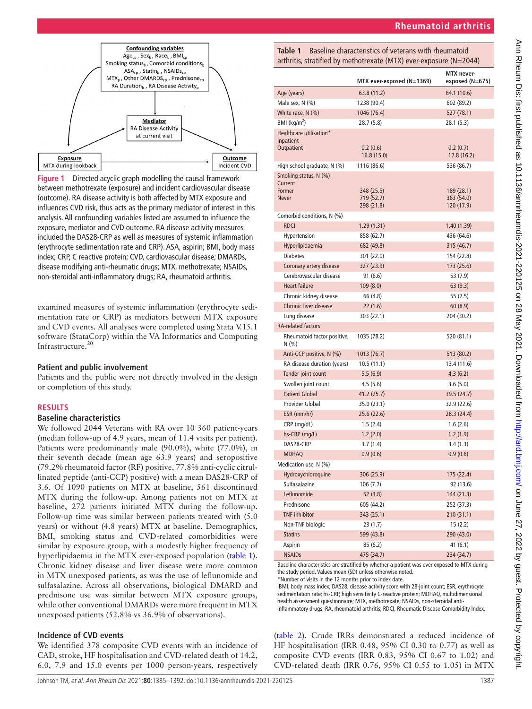

<span id="page-2-0"></span>**Figure 1** Directed acyclic graph modelling the causal framework between methotrexate (exposure) and incident cardiovascular disease (outcome). RA disease activity is both affected by MTX exposure and influences CVD risk, thus acts as the primary mediator of interest in this analysis. All confounding variables listed are assumed to influence the exposure, mediator and CVD outcome. RA disease activity measures included the DAS28-CRP as well as measures of systemic inflammation (erythrocyte sedimentation rate and CRP). ASA, aspirin; BMI, body mass index; CRP, C reactive protein; CVD, cardiovascular disease; DMARDs, disease modifying anti-rheumatic drugs; MTX, methotrexate; NSAIDs, non-steroidal anti-inflammatory drugs; RA, rheumatoid arthritis.

examined measures of systemic inflammation (erythrocyte sedimentation rate or CRP) as mediators between MTX exposure and CVD events. All analyses were completed using Stata V.15.1 software (StataCorp) within the VA Informatics and Computing Infrastructure.[20](#page-6-10)

# **Patient and public involvement**

Patients and the public were not directly involved in the design or completion of this study.

## **RESULTS**

# **Baseline characteristics**

We followed 2044 Veterans with RA over 10 360 patient-years (median follow-up of 4.9 years, mean of 11.4 visits per patient). Patients were predominantly male (90.0%), white (77.0%), in their seventh decade (mean age 63.9 years) and seropositive (79.2% rheumatoid factor (RF) positive, 77.8% anti-cyclic citrullinated peptide (anti-CCP) positive) with a mean DAS28-CRP of 3.6. Of 1090 patients on MTX at baseline, 561 discontinued MTX during the follow-up. Among patients not on MTX at baseline, 272 patients initiated MTX during the follow-up. Follow-up time was similar between patients treated with (5.0 years) or without (4.8 years) MTX at baseline. Demographics, BMI, smoking status and CVD-related comorbidities were similar by exposure group, with a modestly higher frequency of hyperlipidaemia in the MTX ever-exposed population ([table](#page-2-1) 1). Chronic kidney disease and liver disease were more common in MTX unexposed patients, as was the use of leflunomide and sulfasalazine. Across all observations, biological DMARD and prednisone use was similar between MTX exposure groups, while other conventional DMARDs were more frequent in MTX unexposed patients (52.8% vs 36.9% of observations).

# **Incidence of CVD events**

We identified 378 composite CVD events with an incidence of CAD, stroke, HF hospitalisation and CVD-related death of 14.2, 6.0, 7.9 and 15.0 events per 1000 person-years, respectively

<span id="page-2-1"></span>

| Table 1 | Baseline characteristics of veterans with rheumatoid               |
|---------|--------------------------------------------------------------------|
|         | arthritis, stratified by methotrexate (MTX) ever-exposure (N=2044) |

|                                     | MTX ever-exposed (N=1369) | <b>MTX</b> never-<br>exposed (N=675) |
|-------------------------------------|---------------------------|--------------------------------------|
| Age (years)                         | 63.8 (11.2)               | 64.1 (10.6)                          |
| Male sex, $N$ $(\%)$                | 1238 (90.4)               | 602 (89.2)                           |
| White race, $N$ $(\%)$              | 1046 (76.4)               | 527 (78.1)                           |
| $BMI$ (kg/m <sup>2</sup> )          | 28.7 (5.8)                | 28.1 (5.3)                           |
| Healthcare utilisation*             |                           |                                      |
| Inpatient                           |                           |                                      |
| Outpatient                          | 0.2(0.6)<br>16.8(15.0)    | 0.2(0.7)<br>17.8 (16.2)              |
| High school graduate, N (%)         | 1116 (86.6)               | 536 (86.7)                           |
| Smoking status, N (%)               |                           |                                      |
| Current                             |                           |                                      |
| Former                              | 348 (25.5)<br>719 (52.7)  | 189(28.1)                            |
| Never                               | 298 (21.8)                | 363 (54.0)<br>120(17.9)              |
| Comorbid conditions, N (%)          |                           |                                      |
| <b>RDCI</b>                         | 1.29(1.31)                | 1.40 (1.39)                          |
| Hypertension                        | 858 (62.7)                | 436 (64.6)                           |
| Hyperlipidaemia                     | 682 (49.8)                | 315 (46.7)                           |
| <b>Diabetes</b>                     | 301 (22.0)                | 154 (22.8)                           |
| Coronary artery disease             | 327 (23.9)                | 173 (25.6)                           |
| Cerebrovascular disease             | 91 (6.6)                  | 53 (7.9)                             |
| <b>Heart failure</b>                | 109(8.0)                  | 63(9.3)                              |
| Chronic kidney disease              | 66 (4.8)                  | 55 (7.5)                             |
| <b>Chronic liver disease</b>        | 22(1.6)                   | 60(8.9)                              |
| Lung disease                        | 303 (22.1)                | 204 (30.2)                           |
| <b>RA-related factors</b>           |                           |                                      |
| Rheumatoid factor positive,<br>N(%) | 1035 (78.2)               | 520 (81.1)                           |
| Anti-CCP positive, N (%)            | 1013 (76.7)               | 513 (80.2)                           |
| RA disease duration (years)         | 10.5(11.1)                | 13.4 (11.6)                          |
| Tender joint count                  | 5.5(6.9)                  | 4.3(6.2)                             |
| Swollen joint count                 | 4.5(5.6)                  | 3.6 (5.0)                            |
| <b>Patient Global</b>               | 41.2 (25.7)               | 39.5 (24.7)                          |
| Provider Global                     | 35.0 (23.1)               | 32.9 (22.6)                          |
| ESR (mm/hr)                         | 25.6 (22.6)               | 28.3 (24.4)                          |
| CRP (mg/dL)                         | 1.5(2.4)                  | 1.6(2.6)                             |
| hs-CRP (mg/L)                       | 1.2(2.0)                  | 1.2(1.9)                             |
| DAS28-CRP                           | 3.7(1.4)                  | 3.4(1.3)                             |
| <b>MDHAQ</b>                        | 0.9(0.6)                  | 0.9(0.6)                             |
| Medication use, N (%)               |                           |                                      |
| Hydroxychloroquine                  | 306 (25.9)                | 175 (22.4)                           |
| Sulfasalazine                       | 106(7.7)                  | 92 (13.6)                            |
| Leflunomide                         | 52(3.8)                   | 144 (21.3)                           |
| Prednisone                          | 605 (44.2)                | 252 (37.3)                           |
| <b>TNF</b> inhibitor                | 343 (25.1)                | 210 (31.1)                           |
| Non-TNF biologic                    | 23 (1.7)                  | 15 (2.2)                             |
| <b>Statins</b>                      | 599 (43.8)                | 290 (43.0)                           |
| Aspirin                             | 85 (6.2)                  | 41 (6.1)                             |
| <b>NSAIDs</b>                       | 475 (34.7)                | 234 (34.7)                           |

Baseline characteristics are stratified by whether a patient was ever exposed to MTX during the study period. Values mean (SD) unless otherwise noted.

\*Number of visits in the 12 months prior to index date.

.BMI, body mass index; DAS28, disease activity score with 28-joint count; ESR, erythrocyte sedimentation rate; hs-CRP, high sensitivity C-reactive protein; MDHAQ, multidimensional health assessment questionnaire; MTX, methotrexate; NSAIDs, non-steroidal anti-

inflammatory drugs; RA, rheumatoid arthritis; RDCI, Rheumatic Disease Comorbidity Index.

([table](#page-3-0) 2). Crude IRRs demonstrated a reduced incidence of HF hospitalisation (IRR 0.48, 95% CI 0.30 to 0.77) as well as composite CVD events (IRR 0.83, 95% CI 0.67 to 1.02) and CVD-related death (IRR 0.76, 95% CI 0.55 to 1.05) in MTX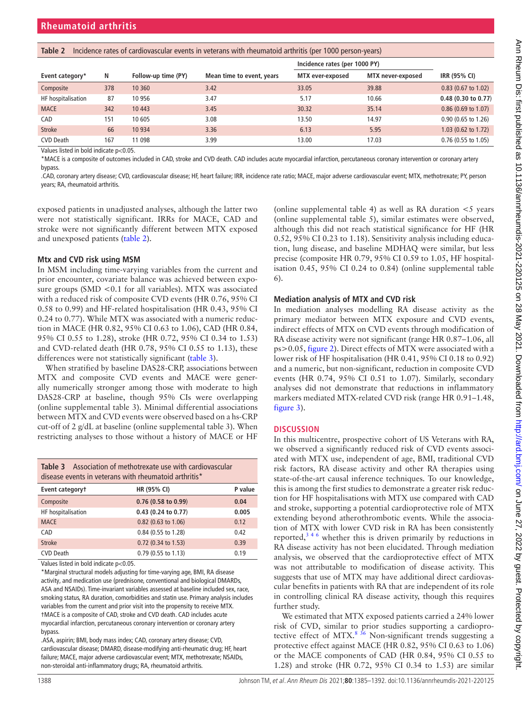| 15012E<br>meracine rates or caraforascalar events in reterans much meanlatold artifitis (per rood person years) |     |                     |                           |                               |                   |                               |  |
|-----------------------------------------------------------------------------------------------------------------|-----|---------------------|---------------------------|-------------------------------|-------------------|-------------------------------|--|
|                                                                                                                 |     |                     |                           | Incidence rates (per 1000 PY) |                   |                               |  |
| Event category*                                                                                                 | N   | Follow-up time (PY) | Mean time to event, years | MTX ever-exposed              | MTX never-exposed | IRR (95% CI)                  |  |
| Composite                                                                                                       | 378 | 10 360              | 3.42                      | 33.05                         | 39.88             | $0.83$ (0.67 to 1.02)         |  |
| HF hospitalisation                                                                                              | 87  | 10 956              | 3.47                      | 5.17                          | 10.66             | $0.48$ (0.30 to 0.77)         |  |
| <b>MACE</b>                                                                                                     | 342 | 10 4 43             | 3.45                      | 30.32                         | 35.14             | $0.86(0.69 \text{ to } 1.07)$ |  |
| CAD                                                                                                             | 151 | 10 605              | 3.08                      | 13.50                         | 14.97             | 0.90 (0.65 to 1.26)           |  |
| <b>Stroke</b>                                                                                                   | 66  | 10 9 34             | 3.36                      | 6.13                          | 5.95              | $1.03$ (0.62 to 1.72)         |  |
| <b>CVD Death</b>                                                                                                | 167 | 11 0 98             | 3.99                      | 13.00                         | 17.03             | $0.76$ (0.55 to 1.05)         |  |

<span id="page-3-0"></span>**Table 2** Incidence rates of cardiovascular events in veterans with rheumatoid arthritis (per 1000 person-years)

Values listed in bold indicate p<0.05.

\*MACE is a composite of outcomes included in CAD, stroke and CVD death. CAD includes acute myocardial infarction, percutaneous coronary intervention or coronary artery bypass.

.CAD, coronary artery disease; CVD, cardiovascular disease; HF, heart failure; IRR, incidence rate ratio; MACE, major adverse cardiovascular event; MTX, methotrexate; PY, person years; RA, rheumatoid arthritis.

exposed patients in unadjusted analyses, although the latter two were not statistically significant. IRRs for MACE, CAD and stroke were not significantly different between MTX exposed and unexposed patients [\(table](#page-3-0) 2).

# **Mtx and CVD risk using MSM**

In MSM including time-varying variables from the current and prior encounter, covariate balance was achieved between exposure groups (SMD <0.1 for all variables). MTX was associated with a reduced risk of composite CVD events (HR 0.76, 95% CI 0.58 to 0.99) and HF-related hospitalisation (HR 0.43, 95% CI 0.24 to 0.77). While MTX was associated with a numeric reduction in MACE (HR 0.82, 95% CI 0.63 to 1.06), CAD (HR 0.84, 95% CI 0.55 to 1.28), stroke (HR 0.72, 95% CI 0.34 to 1.53) and CVD-related death (HR 0.78, 95% CI 0.55 to 1.13), these differences were not statistically significant ([table](#page-3-1) 3).

When stratified by baseline DAS28-CRP, associations between MTX and composite CVD events and MACE were generally numerically stronger among those with moderate to high DAS28-CRP at baseline, though 95% CIs were overlapping ([online supplemental table 3](https://dx.doi.org/10.1136/annrheumdis-2021-220125)). Minimal differential associations between MTX and CVD events were observed based on a hs-CRP cut-off of 2 g/dL at baseline [\(online supplemental table 3\)](https://dx.doi.org/10.1136/annrheumdis-2021-220125). When restricting analyses to those without a history of MACE or HF

<span id="page-3-1"></span>

| <b>Table 3</b> Association of methotrexate use with cardiovascular |
|--------------------------------------------------------------------|
| disease events in veterans with rheumatoid arthritis*              |

| Event categoryt    | HR (95% CI)           | P value |
|--------------------|-----------------------|---------|
| Composite          | $0.76$ (0.58 to 0.99) | 0.04    |
| HF hospitalisation | 0.43 (0.24 to 0.77)   | 0.005   |
| <b>MACE</b>        | 0.82 (0.63 to 1.06)   | 0.12    |
| CAD                | 0.84 (0.55 to 1.28)   | 0.42    |
| <b>Stroke</b>      | 0.72 (0.34 to 1.53)   | 0.39    |
| <b>CVD Death</b>   | 0.79 (0.55 to 1.13)   | 0.19    |

Values listed in bold indicate p<0.05.

\*Marginal structural models adjusting for time-varying age, BMI, RA disease activity, and medication use (prednisone, conventional and biological DMARDs, ASA and NSAIDs). Time-invariant variables assessed at baseline included sex, race, smoking status, RA duration, comorbidities and statin use. Primary analysis includes variables from the current and prior visit into the propensity to receive MTX. †MACE is a composite of CAD, stroke and CVD death. CAD includes acute myocardial infarction, percutaneous coronary intervention or coronary artery bypass.

.ASA, aspirin; BMI, body mass index; CAD, coronary artery disease; CVD, cardiovascular disease; DMARD, disease-modifying anti-rheumatic drug; HF, heart failure; MACE, major adverse cardiovascular event; MTX, methotrexate; NSAIDs, non-steroidal anti-inflammatory drugs; RA, rheumatoid arthritis.

([online supplemental table 4\)](https://dx.doi.org/10.1136/annrheumdis-2021-220125) as well as RA duration  $\lt$  5 years ([online supplemental table 5](https://dx.doi.org/10.1136/annrheumdis-2021-220125)), similar estimates were observed, although this did not reach statistical significance for HF (HR 0.52, 95% CI 0.23 to 1.18). Sensitivity analysis including education, lung disease, and baseline MDHAQ were similar, but less precise (composite HR 0.79, 95% CI 0.59 to 1.05, HF hospitalisation 0.45, 95% CI 0.24 to 0.84) ([online supplemental table](https://dx.doi.org/10.1136/annrheumdis-2021-220125) [6\)](https://dx.doi.org/10.1136/annrheumdis-2021-220125).

# **Mediation analysis of MTX and CVD risk**

In mediation analyses modelling RA disease activity as the primary mediator between MTX exposure and CVD events, indirect effects of MTX on CVD events through modification of RA disease activity were not significant (range HR 0.87–1.06, all ps>0.05, [figure](#page-4-0) 2). Direct effects of MTX were associated with a lower risk of HF hospitalisation (HR 0.41, 95% CI 0.18 to 0.92) and a numeric, but non-significant, reduction in composite CVD events (HR 0.74, 95% CI 0.51 to 1.07). Similarly, secondary analyses did not demonstrate that reductions in inflammatory markers mediated MTX-related CVD risk (range HR 0.91–1.48, [figure](#page-5-0) 3).

# **DISCUSSION**

In this multicentre, prospective cohort of US Veterans with RA, we observed a significantly reduced risk of CVD events associated with MTX use, independent of age, BMI, traditional CVD risk factors, RA disease activity and other RA therapies using state-of-the-art causal inference techniques. To our knowledge, this is among the first studies to demonstrate a greater risk reduction for HF hospitalisations with MTX use compared with CAD and stroke, supporting a potential cardioprotective role of MTX extending beyond atherothrombotic events. While the association of MTX with lower CVD risk in RA has been consistently reported, $3^{3/6}$  whether this is driven primarily by reductions in RA disease activity has not been elucidated. Through mediation analysis, we observed that the cardioprotective effect of MTX was not attributable to modification of disease activity. This suggests that use of MTX may have additional direct cardiovascular benefits in patients with RA that are independent of its role in controlling clinical RA disease activity, though this requires further study.

We estimated that MTX exposed patients carried a 24% lower risk of CVD, similar to prior studies supporting a cardioprotective effect of MTX. $8^{36}$  Non-significant trends suggesting a protective effect against MACE (HR 0.82, 95% CI 0.63 to 1.06) or the MACE components of CAD (HR 0.84, 95% CI 0.55 to 1.28) and stroke (HR 0.72, 95% CI 0.34 to 1.53) are similar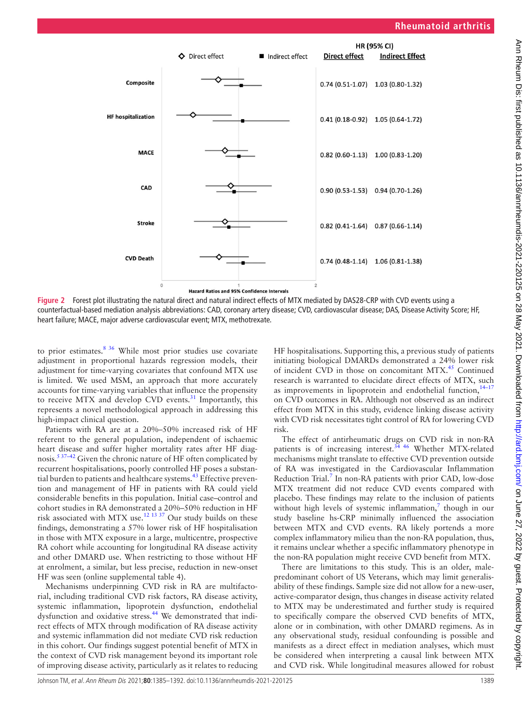

**Figure 2** Forest plot illustrating the natural direct and natural indirect effects of MTX mediated by DAS28-CRP with CVD events using a counterfactual-based mediation analysis abbreviations: CAD, coronary artery disease; CVD, cardiovascular disease; DAS, Disease Activity Score; HF, heart failure; MACE, major adverse cardiovascular event; MTX, methotrexate.

to prior estimates. $8^{36}$  While most prior studies use covariate adjustment in proportional hazards regression models, their adjustment for time-varying covariates that confound MTX use is limited. We used MSM, an approach that more accurately accounts for time-varying variables that influence the propensity to receive MTX and develop CVD events. $31$  Importantly, this represents a novel methodological approach in addressing this high-impact clinical question.

Patients with RA are at a 20%–50% increased risk of HF referent to the general population, independent of ischaemic heart disease and suffer higher mortality rates after HF diagnosis.<sup>5 37–42</sup> Given the chronic nature of HF often complicated by recurrent hospitalisations, poorly controlled HF poses a substantial burden to patients and healthcare systems.<sup>43</sup> Effective prevention and management of HF in patients with RA could yield considerable benefits in this population. Initial case–control and cohort studies in RA demonstrated a 20%–50% reduction in HF risk associated with MTX use.[12 13 37](#page-6-6) Our study builds on these findings, demonstrating a 57% lower risk of HF hospitalisation in those with MTX exposure in a large, multicentre, prospective RA cohort while accounting for longitudinal RA disease activity and other DMARD use. When restricting to those without HF at enrolment, a similar, but less precise, reduction in new-onset HF was seen [\(online supplemental table 4\)](https://dx.doi.org/10.1136/annrheumdis-2021-220125).

Mechanisms underpinning CVD risk in RA are multifactorial, including traditional CVD risk factors, RA disease activity, systemic inflammation, lipoprotein dysfunction, endothelial dysfunction and oxidative stress.<sup>44</sup> We demonstrated that indirect effects of MTX through modification of RA disease activity and systemic inflammation did not mediate CVD risk reduction in this cohort. Our findings suggest potential benefit of MTX in the context of CVD risk management beyond its important role of improving disease activity, particularly as it relates to reducing

<span id="page-4-0"></span>HF hospitalisations. Supporting this, a previous study of patients initiating biological DMARDs demonstrated a 24% lower risk of incident CVD in those on concomitant MTX.<sup>45</sup> Continued research is warranted to elucidate direct effects of MTX, such as improvements in lipoprotein and endothelial function,  $14-17$ on CVD outcomes in RA. Although not observed as an indirect effect from MTX in this study, evidence linking disease activity with CVD risk necessitates tight control of RA for lowering CVD risk.

The effect of antirheumatic drugs on CVD risk in non-RA patients is of increasing interest.<sup>[34 46](#page-7-3)</sup> Whether MTX-related mechanisms might translate to effective CVD prevention outside of RA was investigated in the Cardiovascular Inflammation Reduction Trial.<sup>7</sup> In non-RA patients with prior CAD, low-dose MTX treatment did not reduce CVD events compared with placebo. These findings may relate to the inclusion of patients without high levels of systemic inflammation, $\frac{7}{7}$  $\frac{7}{7}$  $\frac{7}{7}$  though in our study baseline hs-CRP minimally influenced the association between MTX and CVD events. RA likely portends a more complex inflammatory milieu than the non-RA population, thus, it remains unclear whether a specific inflammatory phenotype in the non-RA population might receive CVD benefit from MTX.

There are limitations to this study. This is an older, malepredominant cohort of US Veterans, which may limit generalisability of these findings. Sample size did not allow for a new-user, active-comparator design, thus changes in disease activity related to MTX may be underestimated and further study is required to specifically compare the observed CVD benefits of MTX, alone or in combination, with other DMARD regimens. As in any observational study, residual confounding is possible and manifests as a direct effect in mediation analyses, which must be considered when interpreting a causal link between MTX and CVD risk. While longitudinal measures allowed for robust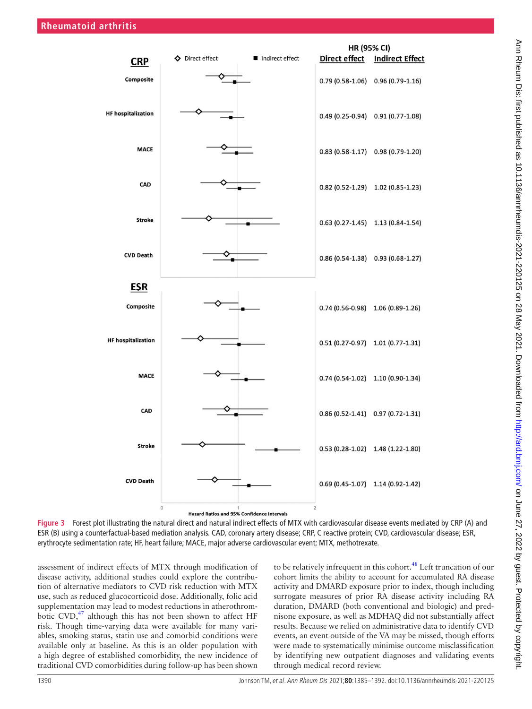

**Figure 3** Forest plot illustrating the natural direct and natural indirect effects of MTX with cardiovascular disease events mediated by CRP (A) and ESR (B) using a counterfactual-based mediation analysis. CAD, coronary artery disease; CRP, C reactive protein; CVD, cardiovascular disease; ESR, erythrocyte sedimentation rate; HF, heart failure; MACE, major adverse cardiovascular event; MTX, methotrexate.

assessment of indirect effects of MTX through modification of disease activity, additional studies could explore the contribution of alternative mediators to CVD risk reduction with MTX use, such as reduced glucocorticoid dose. Additionally, folic acid supplementation may lead to modest reductions in atherothrombotic CVD, $47$  although this has not been shown to affect HF risk. Though time-varying data were available for many variables, smoking status, statin use and comorbid conditions were available only at baseline. As this is an older population with a high degree of established comorbidity, the new incidence of traditional CVD comorbidities during follow-up has been shown

<span id="page-5-0"></span>to be relatively infrequent in this cohort.<sup>48</sup> Left truncation of our cohort limits the ability to account for accumulated RA disease activity and DMARD exposure prior to index, though including surrogate measures of prior RA disease activity including RA duration, DMARD (both conventional and biologic) and prednisone exposure, as well as MDHAQ did not substantially affect results. Because we relied on administrative data to identify CVD events, an event outside of the VA may be missed, though efforts were made to systematically minimise outcome misclassification by identifying new outpatient diagnoses and validating events through medical record review.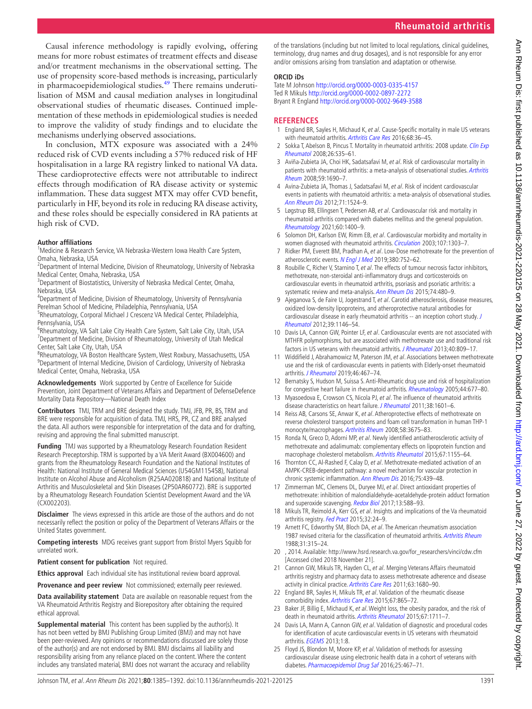Causal inference methodology is rapidly evolving, offering means for more robust estimates of treatment effects and disease and/or treatment mechanisms in the observational setting. The use of propensity score-based methods is increasing, particularly in pharmacoepidemiological studies.<sup>[49](#page-7-10)</sup> There remains underutilisation of MSM and causal mediation analyses in longitudinal observational studies of rheumatic diseases. Continued implementation of these methods in epidemiological studies is needed to improve the validity of study findings and to elucidate the mechanisms underlying observed associations.

In conclusion, MTX exposure was associated with a 24% reduced risk of CVD events including a 57% reduced risk of HF hospitalisation in a large RA registry linked to national VA data. These cardioprotective effects were not attributable to indirect effects through modification of RA disease activity or systemic inflammation. These data suggest MTX may offer CVD benefit, particularly in HF, beyond its role in reducing RA disease activity, and these roles should be especially considered in RA patients at high risk of CVD.

# **Author affiliations**

<sup>1</sup>Medicine & Research Service, VA Nebraska-Western Iowa Health Care System, Omaha, Nebraska, USA

<sup>2</sup>Department of Internal Medicine, Division of Rheumatology, University of Nebraska Medical Center, Omaha, Nebraska, USA

<sup>3</sup>Department of Biostatistics, University of Nebraska Medical Center, Omaha, Nebraska, USA

4 Department of Medicine, Division of Rheumatology, University of Pennsylvania Perelman School of Medicine, Philadelphia, Pennsylvania, USA

<sup>5</sup>Rheumatology, Corporal Michael J Crescenz VA Medical Center, Philadelphia, Pennsylvania, USA

<sup>6</sup>Rheumatology, VA Salt Lake City Health Care System, Salt Lake City, Utah, USA <sup>7</sup>Department of Medicine, Division of Rheumatology, University of Utah Medical Center, Salt Lake City, Utah, USA

<sup>8</sup>Rheumatology, VA Boston Healthcare System, West Roxbury, Massachusetts, USA <sup>9</sup>Department of Internal Medicine, Division of Cardiology, University of Nebraska Medical Center, Omaha, Nebraska, USA

**Acknowledgements** Work supported by Centre of Excellence for Suicide Prevention, Joint Department of Veterans Affairs and Department of DefenseDefence Mortality Data Repository—National Death Index

**Contributors** TMJ, TRM and BRE designed the study. TMJ, JFB, PR, BS, TRM and BRE were responsible for acquisition of data. TMJ, HRS, PR, CZ and BRE analysed the data. All authors were responsible for interpretation of the data and for drafting, revising and approving the final submitted manuscript.

**Funding** TMJ was supported by a Rheumatology Research Foundation Resident Research Preceptorship. TRM is supported by a VA Merit Award (BX004600) and grants from the Rheumatology Research Foundation and the National Institutes of Health: National Institute of General Medical Sciences (U54GM115458), National Institute on Alcohol Abuse and Alcoholism (R25AA020818) and National Institute of Arthritis and Musculoskeletal and Skin Diseases (2P50AR60772). BRE is supported by a Rheumatology Research Foundation Scientist Development Award and the VA (CX002203).

**Disclaimer** The views expressed in this article are those of the authors and do not necessarily reflect the position or policy of the Department of Veterans Affairs or the United States government.

**Competing interests** MDG receives grant support from Bristol Myers Squibb for unrelated work.

**Patient consent for publication** Not required.

**Ethics approval** Each individual site has institutional review board approval.

**Provenance and peer review** Not commissioned; externally peer reviewed.

**Data availability statement** Data are available on reasonable request from the VA Rheumatoid Arthritis Registry and Biorepository after obtaining the required ethical approval.

**Supplemental material** This content has been supplied by the author(s). It has not been vetted by BMJ Publishing Group Limited (BMJ) and may not have been peer-reviewed. Any opinions or recommendations discussed are solely those of the author(s) and are not endorsed by BMJ. BMJ disclaims all liability and responsibility arising from any reliance placed on the content. Where the content includes any translated material, BMJ does not warrant the accuracy and reliability of the translations (including but not limited to local regulations, clinical guidelines, terminology, drug names and drug dosages), and is not responsible for any error and/or omissions arising from translation and adaptation or otherwise.

#### **ORCID iDs**

Tate M Johnson<http://orcid.org/0000-0003-0335-4157> Ted R Mikuls <http://orcid.org/0000-0002-0897-2272> Bryant R England <http://orcid.org/0000-0002-9649-3588>

# **REFERENCES**

- <span id="page-6-0"></span>1 England BR, Sayles H, Michaud K, et al. Cause-Specific mortality in male US veterans with rheumatoid arthritis. [Arthritis Care Res](http://dx.doi.org/10.1002/acr.22642) 2016;68:36-45.
- 2 Sokka T, Abelson B, Pincus T. Mortality in rheumatoid arthritis: 2008 update. Clin Exp [Rheumatol](http://www.ncbi.nlm.nih.gov/pubmed/19026144) 2008;26:S35–61.
- <span id="page-6-1"></span>3 Aviña-Zubieta JA, Choi HK, Sadatsafavi M, et al. Risk of cardiovascular mortality in patients with rheumatoid arthritis: a meta-analysis of observational studies. Arthritis [Rheum](http://dx.doi.org/10.1002/art.24092) 2008;59:1690–7.
- 4 Avina-Zubieta JA, Thomas J, Sadatsafavi M, et al. Risk of incident cardiovascular events in patients with rheumatoid arthritis: a meta-analysis of observational studies. [Ann Rheum Dis](http://dx.doi.org/10.1136/annrheumdis-2011-200726) 2012;71:1524–9.
- <span id="page-6-15"></span>5 Løgstrup BB, Ellingsen T, Pedersen AB, et al. Cardiovascular risk and mortality in rheumatoid arthritis compared with diabetes mellitus and the general population. [Rheumatology](http://dx.doi.org/10.1093/rheumatology/keaa374) 2021;60:1400–9.
- <span id="page-6-2"></span>6 Solomon DH, Karlson EW, Rimm EB, et al. Cardiovascular morbidity and mortality in women diagnosed with rheumatoid arthritis. *[Circulation](http://dx.doi.org/10.1161/01.CIR.0000054612.26458.B2)* 2003;107:1303-7.
- <span id="page-6-3"></span>7 Ridker PM, Everett BM, Pradhan A, et al. Low-Dose methotrexate for the prevention of atherosclerotic events. [N Engl J Med](http://dx.doi.org/10.1056/NEJMoa1809798) 2019;380:752-62.
- <span id="page-6-4"></span>8 Roubille C, Richer V, Starnino T, et al. The effects of tumour necrosis factor inhibitors, methotrexate, non-steroidal anti-inflammatory drugs and corticosteroids on cardiovascular events in rheumatoid arthritis, psoriasis and psoriatic arthritis: a systematic review and meta-analysis. [Ann Rheum Dis](http://dx.doi.org/10.1136/annrheumdis-2014-206624) 2015;74:480-9.
- <span id="page-6-5"></span>9 Ajeganova S, de Faire U, Jogestrand T, et al. Carotid atherosclerosis, disease measures, oxidized low-density lipoproteins, and atheroprotective natural antibodies for cardiovascular disease in early rheumatoid arthritis -- an inception cohort study. J [Rheumatol](http://dx.doi.org/10.3899/jrheum.111334) 2012;39:1146–54.
- 10 Davis LA, Cannon GW, Pointer LF, et al. Cardiovascular events are not associated with MTHFR polymorphisms, but are associated with methotrexate use and traditional risk factors in US veterans with rheumatoid arthritis. [J Rheumatol](http://dx.doi.org/10.3899/jrheum.121012) 2013;40:809-17.
- 11 Widdifield J, Abrahamowicz M, Paterson JM, et al. Associations between methotrexate use and the risk of cardiovascular events in patients with Elderly-onset rheumatoid arthritis. [J Rheumatol](http://dx.doi.org/10.3899/jrheum.180427) 2019;46:467–74.
- <span id="page-6-6"></span>12 Bernatsky S, Hudson M, Suissa S. Anti-Rheumatic drug use and risk of hospitalization for congestive heart failure in rheumatoid arthritis. [Rheumatology](http://dx.doi.org/10.1093/rheumatology/keh610) 2005;44:677-80.
- 13 Myasoedova E, Crowson CS, Nicola PJ, et al. The influence of rheumatoid arthritis disease characteristics on heart failure. [J Rheumatol](http://dx.doi.org/10.3899/jrheum.100979) 2011;38:1601-6.
- <span id="page-6-7"></span>14 Reiss AB, Carsons SE, Anwar K, et al. Atheroprotective effects of methotrexate on reverse cholesterol transport proteins and foam cell transformation in human THP-1 monocyte/macrophages. [Arthritis Rheum](http://dx.doi.org/10.1002/art.24040) 2008;58:3675–83.
- 15 Ronda N, Greco D, Adorni MP, et al. Newly identified antiatherosclerotic activity of methotrexate and adalimumab: complementary effects on lipoprotein function and macrophage cholesterol metabolism. [Arthritis Rheumatol](http://dx.doi.org/10.1002/art.39039) 2015;67:1155–64.
- 16 Thornton CC, Al-Rashed F, Calay D, et al. Methotrexate-mediated activation of an AMPK-CREB-dependent pathway: a novel mechanism for vascular protection in chronic systemic inflammation. [Ann Rheum Dis](http://dx.doi.org/10.1136/annrheumdis-2014-206305) 2016;75:439–48.
- 17 Zimmerman MC, Clemens DL, Duryee MJ, et al. Direct antioxidant properties of methotrexate: inhibition of malondialdehyde-acetaldehyde-protein adduct formation and superoxide scavenging. [Redox Biol](http://dx.doi.org/10.1016/j.redox.2017.07.018) 2017;13:588-93.
- <span id="page-6-8"></span>18 Mikuls TR, Reimold A, Kerr GS, et al. Insights and implications of the Va rheumatoid arthritis registry. [Fed Pract](http://www.ncbi.nlm.nih.gov/pubmed/30766061) 2015;32:24-9.
- <span id="page-6-9"></span>19 Arnett FC, Edworthy SM, Bloch DA, et al. The American rheumatism association 1987 revised criteria for the classification of rheumatoid arthritis. [Arthritis Rheum](http://dx.doi.org/10.1002/art.1780310302) 1988;31:315–24.
- <span id="page-6-10"></span>20 , 2014. Available: [http://www.hsrd.research.va.gov/for\\_researchers/vinci/cdw.cfm](http://www.hsrd.research.va.gov/for_researchers/vinci/cdw.cfm)  [Accessed cited 2018 November 21].
- <span id="page-6-11"></span>21 Cannon GW, Mikuls TR, Hayden CL, et al. Merging Veterans Affairs rheumatoid arthritis registry and pharmacy data to assess methotrexate adherence and disease activity in clinical practice. [Arthritis Care Res](http://dx.doi.org/10.1002/acr.20629) 2011;63:1680–90.
- <span id="page-6-12"></span>22 England BR, Sayles H, Mikuls TR, et al. Validation of the rheumatic disease comorbidity index. [Arthritis Care Res](http://dx.doi.org/10.1002/acr.22456) 2015;67:865–72.
- <span id="page-6-13"></span>23 Baker JF, Billig E, Michaud K, et al. Weight loss, the obesity paradox, and the risk of death in rheumatoid arthritis. [Arthritis Rheumatol](http://dx.doi.org/10.1002/art.39136) 2015;67:1711-7.
- <span id="page-6-14"></span>24 Davis LA, Mann A, Cannon GW, et al. Validation of diagnostic and procedural codes for identification of acute cardiovascular events in US veterans with rheumatoid arthritis. **[EGEMS](http://dx.doi.org/10.13063/2327-9214.1023)** 2013:1:8.
- 25 Floyd JS, Blondon M, Moore KP, et al. Validation of methods for assessing cardiovascular disease using electronic health data in a cohort of veterans with diabetes. [Pharmacoepidemiol Drug Saf](http://dx.doi.org/10.1002/pds.3921) 2016;25:467-71.